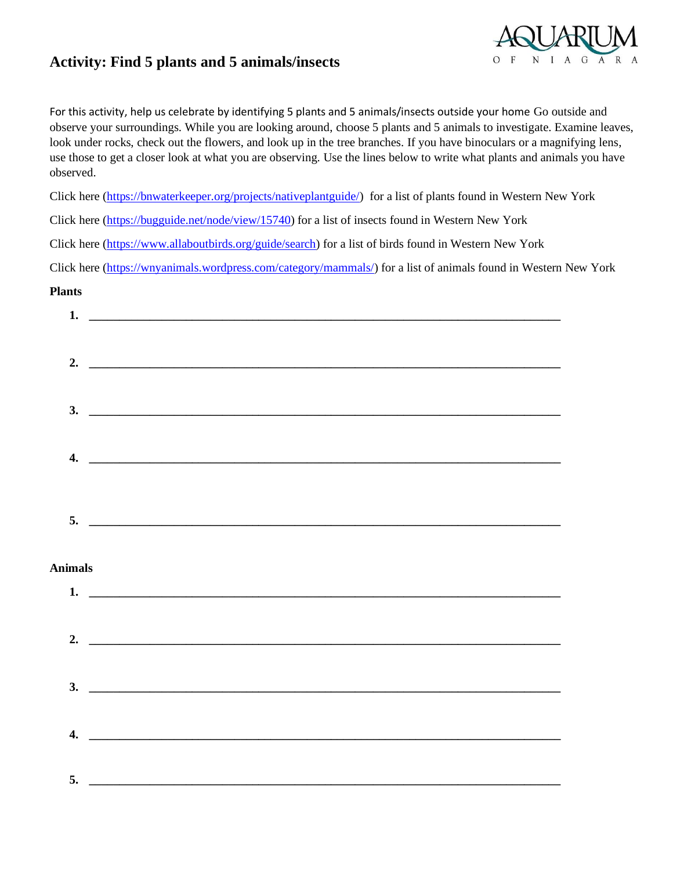## **Activity: Find 5 plants and 5 animals/insects**



For this activity, help us celebrate by identifying 5 plants and 5 animals/insects outside your home Go outside and observe your surroundings. While you are looking around, choose 5 plants and 5 animals to investigate. Examine leaves, look under rocks, check out the flowers, and look up in the tree branches. If you have binoculars or a magnifying lens, use those to get a closer look at what you are observing. Use the lines below to write what plants and animals you have observed.

Click here [\(https://bnwaterkeeper.org/projects/nativeplantguide/\)](https://bnwaterkeeper.org/projects/nativeplantguide/) for a list of plants found in Western New York

Click here [\(https://bugguide.net/node/view/15740\)](https://bugguide.net/node/view/15740) for a list of insects found in Western New York

Click here [\(https://www.allaboutbirds.org/guide/search\)](https://www.allaboutbirds.org/guide/search) for a list of birds found in Western New York

Click here [\(https://wnyanimals.wordpress.com/category/mammals/\)](https://wnyanimals.wordpress.com/category/mammals/) for a list of animals found in Western New York

## **Plants**

| 1.               |                                                                                                                      |
|------------------|----------------------------------------------------------------------------------------------------------------------|
|                  |                                                                                                                      |
|                  |                                                                                                                      |
|                  |                                                                                                                      |
|                  |                                                                                                                      |
|                  |                                                                                                                      |
|                  |                                                                                                                      |
|                  | $3.$ $\overline{\phantom{a}}$                                                                                        |
|                  |                                                                                                                      |
|                  |                                                                                                                      |
| $\overline{4}$ . | <u> 1989 - Jan James James Barnett, amerikan berlindar (h. 1989).</u>                                                |
|                  |                                                                                                                      |
|                  |                                                                                                                      |
|                  |                                                                                                                      |
|                  |                                                                                                                      |
|                  | $5.$ $\overline{\phantom{a}}$                                                                                        |
|                  |                                                                                                                      |
|                  |                                                                                                                      |
|                  |                                                                                                                      |
|                  |                                                                                                                      |
| <b>Animals</b>   |                                                                                                                      |
|                  | 1. $\overline{\phantom{a}}$                                                                                          |
|                  |                                                                                                                      |
|                  |                                                                                                                      |
|                  |                                                                                                                      |
|                  |                                                                                                                      |
|                  |                                                                                                                      |
|                  |                                                                                                                      |
| 3.               |                                                                                                                      |
|                  |                                                                                                                      |
|                  |                                                                                                                      |
| $\overline{4}$ . | <u> 2000 - Jan James James James James James James James James James James James James James James James James J</u> |
|                  |                                                                                                                      |
|                  |                                                                                                                      |
| 5.               |                                                                                                                      |